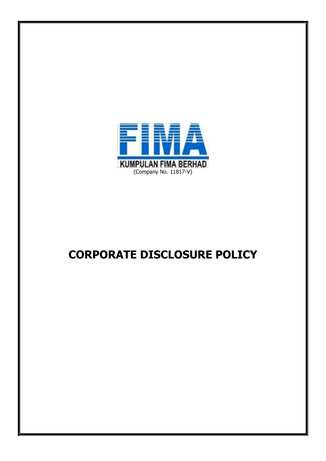

# **CORPORATE DISCLOSURE POLICY**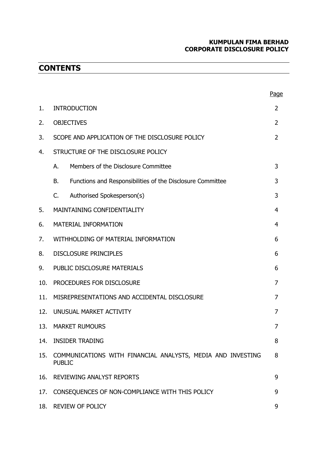# **KUMPULAN FIMA BERHAD CORPORATE DISCLOSURE POLICY**

# **CONTENTS**

|     |                                                                              |                                                            | <u>Page</u> |
|-----|------------------------------------------------------------------------------|------------------------------------------------------------|-------------|
| 1.  | <b>INTRODUCTION</b>                                                          |                                                            | 2           |
| 2.  | <b>OBJECTIVES</b>                                                            |                                                            | 2           |
| 3.  | SCOPE AND APPLICATION OF THE DISCLOSURE POLICY                               |                                                            | 2           |
| 4.  | STRUCTURE OF THE DISCLOSURE POLICY                                           |                                                            |             |
|     | А.                                                                           | Members of the Disclosure Committee                        | 3           |
|     | В.                                                                           | Functions and Responsibilities of the Disclosure Committee | 3           |
|     | C.                                                                           | Authorised Spokesperson(s)                                 | 3           |
| 5.  |                                                                              | MAINTAINING CONFIDENTIALITY                                | 4           |
| 6.  | MATERIAL INFORMATION                                                         |                                                            | 4           |
| 7.  | WITHHOLDING OF MATERIAL INFORMATION                                          |                                                            | 6           |
| 8.  | <b>DISCLOSURE PRINCIPLES</b>                                                 |                                                            | 6           |
| 9.  | PUBLIC DISCLOSURE MATERIALS                                                  |                                                            | 6           |
| 10. | PROCEDURES FOR DISCLOSURE                                                    |                                                            | 7           |
| 11. | MISREPRESENTATIONS AND ACCIDENTAL DISCLOSURE                                 |                                                            | 7           |
| 12. | UNUSUAL MARKET ACTIVITY                                                      |                                                            | 7           |
| 13. | <b>MARKET RUMOURS</b>                                                        |                                                            | 7           |
| 14. | <b>INSIDER TRADING</b>                                                       |                                                            | 8           |
| 15. | COMMUNICATIONS WITH FINANCIAL ANALYSTS, MEDIA AND INVESTING<br><b>PUBLIC</b> |                                                            | 8           |
| 16. | <b>REVIEWING ANALYST REPORTS</b>                                             |                                                            | 9           |
| 17. | CONSEQUENCES OF NON-COMPLIANCE WITH THIS POLICY                              |                                                            |             |
| 18. | REVIEW OF POLICY                                                             |                                                            |             |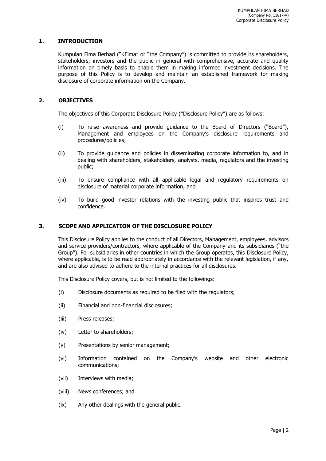# **1. INTRODUCTION**

Kumpulan Fima Berhad ("KFima" or "the Company") is committed to provide its shareholders, stakeholders, investors and the public in general with comprehensive, accurate and quality information on timely basis to enable them in making informed investment decisions. The purpose of this Policy is to develop and maintain an established framework for making disclosure of corporate information on the Company.

# **2. OBJECTIVES**

The objectives of this Corporate Disclosure Policy ("Disclosure Policy") are as follows:

- (i) To raise awareness and provide guidance to the Board of Directors ("Board"), Management and employees on the Company's disclosure requirements and procedures/policies;
- (ii) To provide guidance and policies in disseminating corporate information to, and in dealing with shareholders, stakeholders, analysts, media, regulators and the investing public;
- (iii) To ensure compliance with all applicable legal and regulatory requirements on disclosure of material corporate information; and
- (iv) To build good investor relations with the investing public that inspires trust and confidence.

#### **3. SCOPE AND APPLICATION OF THE DISCLOSURE POLICY**

This Disclosure Policy applies to the conduct of all Directors, Management, employees, advisors and service providers/contractors, where applicable of the Company and its subsidiaries ("the Group"). For subsidiaries in other countries in which the Group operates, this Disclosure Policy, where applicable, is to be read appropriately in accordance with the relevant legislation, if any, and are also advised to adhere to the internal practices for all disclosures.

This Disclosure Policy covers, but is not limited to the followings:

- (i) Disclosure documents as required to be filed with the regulators;
- (ii) Financial and non-financial disclosures;
- (iii) Press releases;
- (iv) Letter to shareholders;
- (v) Presentations by senior management;
- (vi) Information contained on the Company's website and other electronic communications;
- (vii) Interviews with media;
- (viii) News conferences; and
- (ix) Any other dealings with the general public.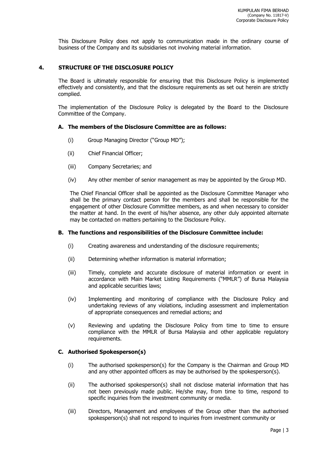This Disclosure Policy does not apply to communication made in the ordinary course of business of the Company and its subsidiaries not involving material information.

#### **4. STRUCTURE OF THE DISCLOSURE POLICY**

The Board is ultimately responsible for ensuring that this Disclosure Policy is implemented effectively and consistently, and that the disclosure requirements as set out herein are strictly complied.

The implementation of the Disclosure Policy is delegated by the Board to the Disclosure Committee of the Company.

#### **A. The members of the Disclosure Committee are as follows:**

- (i) Group Managing Director ("Group MD");
- (ii) Chief Financial Officer;
- (iii) Company Secretaries; and
- (iv) Any other member of senior management as may be appointed by the Group MD.

The Chief Financial Officer shall be appointed as the Disclosure Committee Manager who shall be the primary contact person for the members and shall be responsible for the engagement of other Disclosure Committee members, as and when necessary to consider the matter at hand. In the event of his/her absence, any other duly appointed alternate may be contacted on matters pertaining to the Disclosure Policy.

#### **B. The functions and responsibilities of the Disclosure Committee include:**

- (i) Creating awareness and understanding of the disclosure requirements;
- (ii) Determining whether information is material information;
- (iii) Timely, complete and accurate disclosure of material information or event in accordance with Main Market Listing Requirements ("MMLR") of Bursa Malaysia and applicable securities laws;
- (iv) Implementing and monitoring of compliance with the Disclosure Policy and undertaking reviews of any violations, including assessment and implementation of appropriate consequences and remedial actions; and
- (v) Reviewing and updating the Disclosure Policy from time to time to ensure compliance with the MMLR of Bursa Malaysia and other applicable regulatory requirements.

#### **C. Authorised Spokesperson(s)**

- (i) The authorised spokesperson(s) for the Company is the Chairman and Group MD and any other appointed officers as may be authorised by the spokesperson(s).
- (ii) The authorised spokesperson(s) shall not disclose material information that has not been previously made public. He/she may, from time to time, respond to specific inquiries from the investment community or media.
- (iii) Directors, Management and employees of the Group other than the authorised spokesperson(s) shall not respond to inquiries from investment community or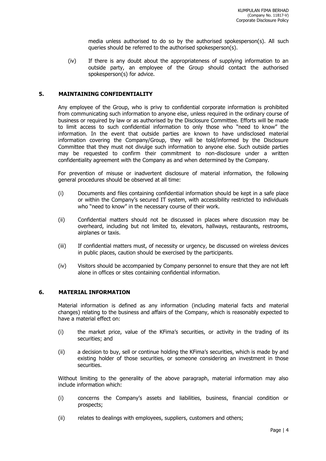media unless authorised to do so by the authorised spokesperson(s). All such queries should be referred to the authorised spokesperson(s).

(iv) If there is any doubt about the appropriateness of supplying information to an outside party, an employee of the Group should contact the authorised spokesperson(s) for advice.

#### **5. MAINTAINING CONFIDENTIALITY**

Any employee of the Group, who is privy to confidential corporate information is prohibited from communicating such information to anyone else, unless required in the ordinary course of business or required by law or as authorised by the Disclosure Committee. Efforts will be made to limit access to such confidential information to only those who "need to know" the information. In the event that outside parties are known to have undisclosed material information covering the Company/Group, they will be told/informed by the Disclosure Committee that they must not divulge such information to anyone else. Such outside parties may be requested to confirm their commitment to non-disclosure under a written confidentiality agreement with the Company as and when determined by the Company.

For prevention of misuse or inadvertent disclosure of material information, the following general procedures should be observed at all time:

- (i) Documents and files containing confidential information should be kept in a safe place or within the Company's secured IT system, with accessibility restricted to individuals who "need to know" in the necessary course of their work.
- (ii) Confidential matters should not be discussed in places where discussion may be overheard, including but not limited to, elevators, hallways, restaurants, restrooms, airplanes or taxis.
- (iii) If confidential matters must, of necessity or urgency, be discussed on wireless devices in public places, caution should be exercised by the participants.
- (iv) Visitors should be accompanied by Company personnel to ensure that they are not left alone in offices or sites containing confidential information.

#### **6. MATERIAL INFORMATION**

Material information is defined as any information (including material facts and material changes) relating to the business and affairs of the Company, which is reasonably expected to have a material effect on:

- (i) the market price, value of the KFima's securities, or activity in the trading of its securities; and
- (ii) a decision to buy, sell or continue holding the KFima's securities, which is made by and existing holder of those securities, or someone considering an investment in those securities.

Without limiting to the generality of the above paragraph, material information may also include information which:

- (i) concerns the Company's assets and liabilities, business, financial condition or prospects;
- (ii) relates to dealings with employees, suppliers, customers and others;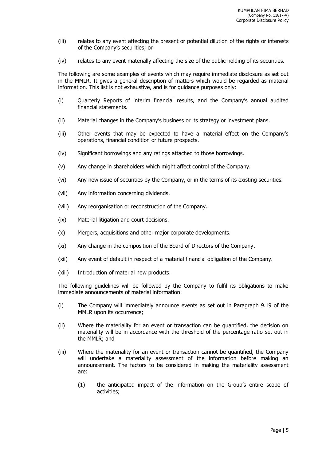- (iii) relates to any event affecting the present or potential dilution of the rights or interests of the Company's securities; or
- (iv) relates to any event materially affecting the size of the public holding of its securities.

The following are some examples of events which may require immediate disclosure as set out in the MMLR. It gives a general description of matters which would be regarded as material information. This list is not exhaustive, and is for guidance purposes only:

- (i) Quarterly Reports of interim financial results, and the Company's annual audited financial statements.
- (ii) Material changes in the Company's business or its strategy or investment plans.
- (iii) Other events that may be expected to have a material effect on the Company's operations, financial condition or future prospects.
- (iv) Significant borrowings and any ratings attached to those borrowings.
- (v) Any change in shareholders which might affect control of the Company.
- (vi) Any new issue of securities by the Company, or in the terms of its existing securities.
- (vii) Any information concerning dividends.
- (viii) Any reorganisation or reconstruction of the Company.
- (ix) Material litigation and court decisions.
- (x) Mergers, acquisitions and other major corporate developments.
- (xi) Any change in the composition of the Board of Directors of the Company.
- (xii) Any event of default in respect of a material financial obligation of the Company.
- (xiii) Introduction of material new products.

The following guidelines will be followed by the Company to fulfil its obligations to make immediate announcements of material information:

- (i) The Company will immediately announce events as set out in Paragraph 9.19 of the MMLR upon its occurrence;
- (ii) Where the materiality for an event or transaction can be quantified, the decision on materiality will be in accordance with the threshold of the percentage ratio set out in the MMLR; and
- (iii) Where the materiality for an event or transaction cannot be quantified, the Company will undertake a materiality assessment of the information before making an announcement. The factors to be considered in making the materiality assessment are:
	- (1) the anticipated impact of the information on the Group's entire scope of activities;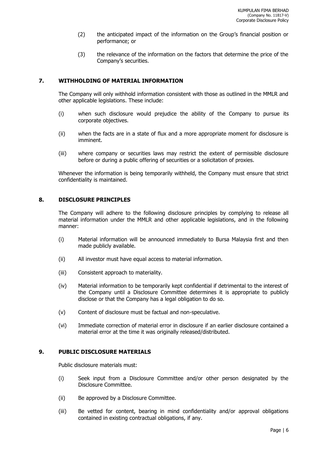- (2) the anticipated impact of the information on the Group's financial position or performance; or
- (3) the relevance of the information on the factors that determine the price of the Company's securities.

#### **7. WITHHOLDING OF MATERIAL INFORMATION**

The Company will only withhold information consistent with those as outlined in the MMLR and other applicable legislations. These include:

- (i) when such disclosure would prejudice the ability of the Company to pursue its corporate objectives.
- (ii) when the facts are in a state of flux and a more appropriate moment for disclosure is imminent.
- (iii) where company or securities laws may restrict the extent of permissible disclosure before or during a public offering of securities or a solicitation of proxies.

Whenever the information is being temporarily withheld, the Company must ensure that strict confidentiality is maintained.

#### **8. DISCLOSURE PRINCIPLES**

The Company will adhere to the following disclosure principles by complying to release all material information under the MMLR and other applicable legislations, and in the following manner:

- (i) Material information will be announced immediately to Bursa Malaysia first and then made publicly available.
- (ii) All investor must have equal access to material information.
- (iii) Consistent approach to materiality.
- (iv) Material information to be temporarily kept confidential if detrimental to the interest of the Company until a Disclosure Committee determines it is appropriate to publicly disclose or that the Company has a legal obligation to do so.
- (v) Content of disclosure must be factual and non-speculative.
- (vi) Immediate correction of material error in disclosure if an earlier disclosure contained a material error at the time it was originally released/distributed.

# **9. PUBLIC DISCLOSURE MATERIALS**

Public disclosure materials must:

- (i) Seek input from a Disclosure Committee and/or other person designated by the Disclosure Committee.
- (ii) Be approved by a Disclosure Committee.
- (iii) Be vetted for content, bearing in mind confidentiality and/or approval obligations contained in existing contractual obligations, if any.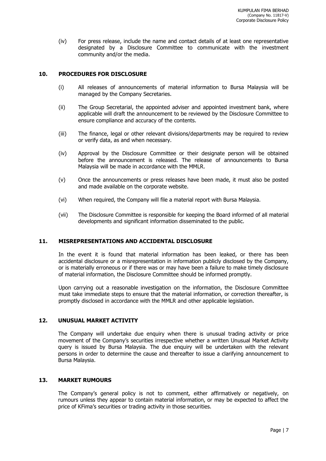(iv) For press release, include the name and contact details of at least one representative designated by a Disclosure Committee to communicate with the investment community and/or the media.

### **10. PROCEDURES FOR DISCLOSURE**

- (i) All releases of announcements of material information to Bursa Malaysia will be managed by the Company Secretaries.
- (ii) The Group Secretarial, the appointed adviser and appointed investment bank, where applicable will draft the announcement to be reviewed by the Disclosure Committee to ensure compliance and accuracy of the contents.
- (iii) The finance, legal or other relevant divisions/departments may be required to review or verify data, as and when necessary.
- (iv) Approval by the Disclosure Committee or their designate person will be obtained before the announcement is released. The release of announcements to Bursa Malaysia will be made in accordance with the MMLR.
- (v) Once the announcements or press releases have been made, it must also be posted and made available on the corporate website.
- (vi) When required, the Company will file a material report with Bursa Malaysia.
- (vii) The Disclosure Committee is responsible for keeping the Board informed of all material developments and significant information disseminated to the public.

#### **11. MISREPRESENTATIONS AND ACCIDENTAL DISCLOSURE**

In the event it is found that material information has been leaked, or there has been accidental disclosure or a misrepresentation in information publicly disclosed by the Company, or is materially erroneous or if there was or may have been a failure to make timely disclosure of material information, the Disclosure Committee should be informed promptly.

Upon carrying out a reasonable investigation on the information, the Disclosure Committee must take immediate steps to ensure that the material information, or correction thereafter, is promptly disclosed in accordance with the MMLR and other applicable legislation.

# **12. UNUSUAL MARKET ACTIVITY**

The Company will undertake due enquiry when there is unusual trading activity or price movement of the Company's securities irrespective whether a written Unusual Market Activity query is issued by Bursa Malaysia. The due enquiry will be undertaken with the relevant persons in order to determine the cause and thereafter to issue a clarifying announcement to Bursa Malaysia.

#### **13. MARKET RUMOURS**

The Company's general policy is not to comment, either affirmatively or negatively, on rumours unless they appear to contain material information, or may be expected to affect the price of KFima's securities or trading activity in those securities.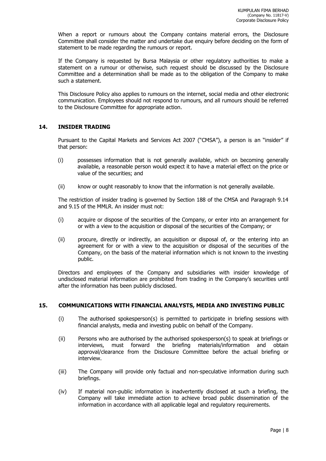When a report or rumours about the Company contains material errors, the Disclosure Committee shall consider the matter and undertake due enquiry before deciding on the form of statement to be made regarding the rumours or report.

If the Company is requested by Bursa Malaysia or other regulatory authorities to make a statement on a rumour or otherwise, such request should be discussed by the Disclosure Committee and a determination shall be made as to the obligation of the Company to make such a statement.

This Disclosure Policy also applies to rumours on the internet, social media and other electronic communication. Employees should not respond to rumours, and all rumours should be referred to the Disclosure Committee for appropriate action.

# **14. INSIDER TRADING**

Pursuant to the Capital Markets and Services Act 2007 ("CMSA"), a person is an "insider" if that person:

- (i) possesses information that is not generally available, which on becoming generally available, a reasonable person would expect it to have a material effect on the price or value of the securities; and
- (ii) know or ought reasonably to know that the information is not generally available.

The restriction of insider trading is governed by Section 188 of the CMSA and Paragraph 9.14 and 9.15 of the MMLR. An insider must not:

- (i) acquire or dispose of the securities of the Company, or enter into an arrangement for or with a view to the acquisition or disposal of the securities of the Company; or
- (ii) procure, directly or indirectly, an acquisition or disposal of, or the entering into an agreement for or with a view to the acquisition or disposal of the securities of the Company, on the basis of the material information which is not known to the investing public.

Directors and employees of the Company and subsidiaries with insider knowledge of undisclosed material information are prohibited from trading in the Company's securities until after the information has been publicly disclosed.

#### **15. COMMUNICATIONS WITH FINANCIAL ANALYSTS, MEDIA AND INVESTING PUBLIC**

- (i) The authorised spokesperson(s) is permitted to participate in briefing sessions with financial analysts, media and investing public on behalf of the Company.
- (ii) Persons who are authorised by the authorised spokesperson(s) to speak at briefings or interviews, must forward the briefing materials/information and obtain approval/clearance from the Disclosure Committee before the actual briefing or interview.
- (iii) The Company will provide only factual and non-speculative information during such briefings.
- (iv) If material non-public information is inadvertently disclosed at such a briefing, the Company will take immediate action to achieve broad public dissemination of the information in accordance with all applicable legal and regulatory requirements.